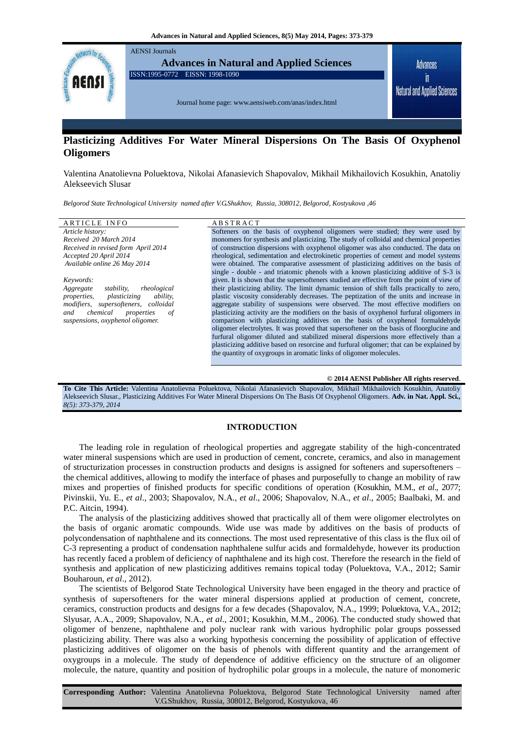

# **Plasticizing Additives For Water Mineral Dispersions On The Basis Of Oxyphenol Oligomers**

Valentina Anatolievna Poluektova, Nikolai Afanasievich Shapovalov, Mikhail Mikhailovich Kosukhin, Anatoliy Alekseevich Slusar

*Belgorod State Technological University named after V.G.Shukhov, Russia, 308012, Belgorod, Kostyukova ,46*

| <b>ARTICLE INFO</b>                                   | <b>ABSTRACT</b>                                                                            |
|-------------------------------------------------------|--------------------------------------------------------------------------------------------|
| Article history:                                      | Softeners on the basis of oxyphenol oligomers were studied; they were used by              |
| Received 20 March 2014                                | monomers for synthesis and plasticizing. The study of colloidal and chemical properties    |
| Received in revised form April 2014                   | of construction dispersions with oxyphenol oligomer was also conducted. The data on        |
| Accepted 20 April 2014                                | rheological, sedimentation and electrokinetic properties of cement and model systems       |
| Available online 26 May 2014                          | were obtained. The comparative assessment of plasticizing additives on the basis of        |
|                                                       | single - double - and triatomic phenols with a known plasticizing additive of S-3 is       |
| Keywords:                                             | given. It is shown that the supersofteners studied are effective from the point of view of |
| rheological<br>stability,<br>Aggregate                | their plasticizing ability. The limit dynamic tension of shift falls practically to zero,  |
| <i>properties,</i><br>plasticizing<br><i>ability.</i> | plastic viscosity considerably decreases. The peptization of the units and increase in     |
| modifiers, supersofteners, colloidal                  | aggregate stability of suspensions were observed. The most effective modifiers on          |
| chemical<br>and<br>properties<br>0f                   | plasticizing activity are the modifiers on the basis of oxyphenol furfural oligomers in    |
| suspensions, oxyphenol oligomer.                      | comparison with plasticizing additives on the basis of oxyphenol formaldehyde              |
|                                                       | oligomer electrolytes. It was proved that supersoftener on the basis of floorglucine and   |
|                                                       | furfural oligomer diluted and stabilized mineral dispersions more effectively than a       |
|                                                       | plasticizing additive based on resorcine and furfural oligomer; that can be explained by   |
|                                                       | the quantity of oxygroups in aromatic links of oligomer molecules.                         |
|                                                       |                                                                                            |
|                                                       |                                                                                            |

**© 2014 AENSI Publisher All rights reserved**.

**To Cite This Article:** Valentina Anatolievna Poluektova, Nikolai Afanasievich Shapovalov, Mikhail Mikhailovich Kosukhin, Anatoliy Alekseevich Slusar., Plasticizing Additives For Water Mineral Dispersions On The Basis Of Oxyphenol Oligomers. **Adv. in Nat. Appl. Sci***., 8(5): 373-379, 2014*

# **INTRODUCTION**

The leading role in regulation of rheological properties and aggregate stability of the high-concentrated water mineral suspensions which are used in production of cement, concrete, ceramics, and also in management of structurization processes in construction products and designs is assigned for softeners and supersofteners – the chemical additives, allowing to modify the interface of phases and purposefully to change an mobility of raw mixes and properties of finished products for specific conditions of operation (Kosukhin, М.М., *et al*., 2077; Pivinskii, Yu. E., *et al*., 2003; Shapovalov, N.A., *et al*., 2006; Shapovalov, N.A., *et al*., 2005; Baalbaki, M. and P.C. Aitcin, 1994).

The analysis of the plasticizing additives showed that practically all of them were oligomer electrolytes on the basis of organic aromatic compounds. Wide use was made by additives on the basis of products of polycondensation of naphthalene and its connections. The most used representative of this class is the flux oil of C-3 representing a product of condensation naphthalene sulfur acids and formaldehyde, however its production has recently faced a problem of deficiency of naphthalene and its high cost. Therefore the research in the field of synthesis and application of new plasticizing additives remains topical today (Poluektova, V.A., 2012; Samir Bouharoun, *et al*., 2012).

The scientists of Belgorod State Technological University have been engaged in the theory and practice of synthesis of supersofteners for the water mineral dispersions applied at production of cement, concrete, ceramics, construction products and designs for a few decades (Shapovalov, N.А., 1999; Poluektova, V.А., 2012; Slyusar, А.А., 2009; Shapovalov, N.A., *et al*., 2001; Kosukhin, М.М., 2006). The conducted study showed that oligomer of benzene, naphthalene and poly nuclear rank with various hydrophilic polar groups possessed plasticizing ability. There was also a working hypothesis concerning the possibility of application of effective plasticizing additives of oligomer on the basis of phenols with different quantity and the arrangement of oxygroups in a molecule. The study of dependence of additive efficiency on the structure of an oligomer molecule, the nature, quantity and position of hydrophilic polar groups in a molecule, the nature of monomeric

**Corresponding Author:** Valentina Anatolievna Poluektova, Belgorod State Technological University named after V.G.Shukhov, Russia, 308012, Belgorod, Kostyukova, 46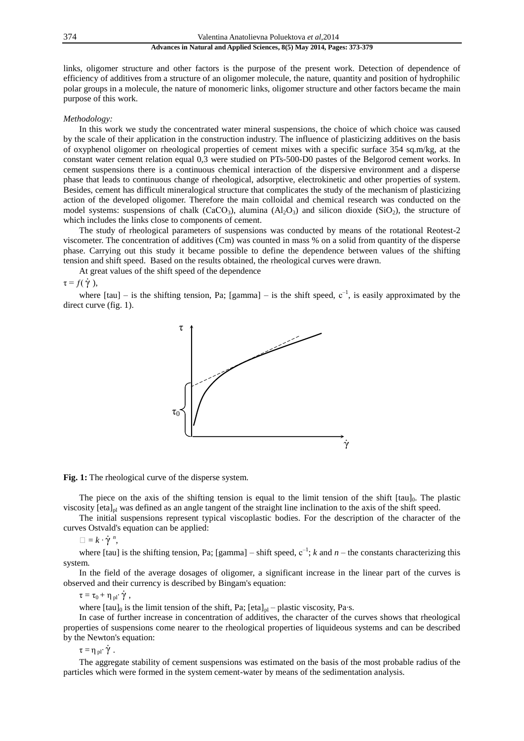links, oligomer structure and other factors is the purpose of the present work. Detection of dependence of efficiency of additives from a structure of an oligomer molecule, the nature, quantity and position of hydrophilic polar groups in a molecule, the nature of monomeric links, oligomer structure and other factors became the main purpose of this work.

### *Methodology:*

In this work we study the concentrated water mineral suspensions, the choice of which choice was caused by the scale of their application in the construction industry. The influence of plasticizing additives on the basis of oxyphenol oligomer on rheological properties of cement mixes with a specific surface 354 sq.m/kg, at the constant water cement relation equal 0,3 were studied on PTs-500-D0 pastes of the Belgorod cement works. In cement suspensions there is a continuous chemical interaction of the dispersive environment and a disperse phase that leads to continuous change of rheological, adsorptive, electrokinetic and other properties of system. Besides, cement has difficult mineralogical structure that complicates the study of the mechanism of plasticizing action of the developed oligomer. Therefore the main colloidal and chemical research was conducted on the model systems: suspensions of chalk  $(CaCO<sub>3</sub>)$ , alumina  $(A<sub>2</sub>O<sub>3</sub>)$  and silicon dioxide  $(SiO<sub>2</sub>)$ , the structure of which includes the links close to components of cement.

The study of rheological parameters of suspensions was conducted by means of the rotational Reotest-2 viscometer. The concentration of additives (Cm) was counted in mass % on a solid from quantity of the disperse phase. Carrying out this study it became possible to define the dependence between values of the shifting tension and shift speed. Based on the results obtained, the rheological curves were drawn.

At great values of the shift speed of the dependence

 $\tau = f(\dot{\gamma}),$ 

where  $[tau]$  – is the shifting tension, Pa; [gamma] – is the shift speed,  $c^{-1}$ , is easily approximated by the direct curve (fig. 1).



#### **Fig. 1:** The rheological curve of the disperse system.

The piece on the axis of the shifting tension is equal to the limit tension of the shift  $[tau]_0$ . The plastic viscosity  $[eta]_{pl}$  was defined as an angle tangent of the straight line inclination to the axis of the shift speed.

The initial suspensions represent typical viscoplastic bodies. For the description of the character of the curves Ostvald's equation can be applied:

 $\square = k \cdot \dot{\gamma}^n$ 

where [tau] is the shifting tension, Pa; [gamma] – shift speed,  $c^{-1}$ ; *k* and *n* – the constants characterizing this system.

In the field of the average dosages of oligomer, a significant increase in the linear part of the curves is observed and their currency is described by Bingam's equation:

 $\tau = \tau_0 + \eta_{\text{pl}} \cdot \dot{\gamma}$ ,

where  $[tau]_0$  is the limit tension of the shift, Pa;  $[eta]_{pl}$  – plastic viscosity, Pa⋅s.

In case of further increase in concentration of additives, the character of the curves shows that rheological properties of suspensions come nearer to the rheological properties of liquideous systems and can be described by the Newton's equation:

 $\tau = \eta_{\text{pl}} \cdot \dot{\gamma}$ .

The aggregate stability of cement suspensions was estimated on the basis of the most probable radius of the particles which were formed in the system cement-water by means of the sedimentation analysis.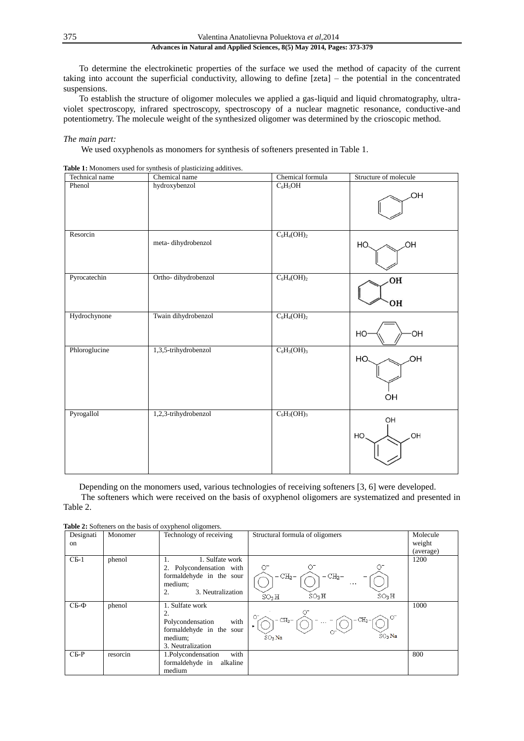375 Valentina Anatolievna Poluektova *et al*,2014

# **Advances in Natural and Applied Sciences, 8(5) May 2014, Pages: 373-379**

To determine the electrokinetic properties of the surface we used the method of capacity of the current taking into account the superficial conductivity, allowing to define [zeta] – the potential in the concentrated suspensions.

To establish the structure of oligomer molecules we applied a gas-liquid and liquid chromatography, ultraviolet spectroscopy, infrared spectroscopy, spectroscopy of a nuclear magnetic resonance, conductive-and potentiometry. The molecule weight of the synthesized oligomer was determined by the crioscopic method.

# *The main part:*

We used oxyphenols as monomers for synthesis of softeners presented in Table 1.

|--|

| Technical name | Chemical name        | Chemical formula | Structure of molecule |
|----------------|----------------------|------------------|-----------------------|
| Phenol         | hydroxybenzol        | $C_6H_5OH$       | ЮH                    |
| Resorcin       | meta-dihydrobenzol   | $C_6H_4(OH)_2$   | HO.<br>ЮH             |
| Pyrocatechin   | Ortho-dihydrobenzol  | $C_6H_4(OH)_2$   | OH<br>OH              |
| Hydrochynone   | Twain dihydrobenzol  | $C_6H_4(OH)_2$   | OH<br>HO              |
| Phloroglucine  | 1,3,5-trihydrobenzol | $C_6H_3(OH)_3$   | ЮH<br>HO<br>OH        |
| Pyrogallol     | 1,2,3-trihydrobenzol | $C_6H_3(OH)_3$   | OH<br>OH<br>HO        |

Depending on the monomers used, various technologies of receiving softeners [3, 6] were developed.

The softeners which were received on the basis of oxyphenol oligomers are systematized and presented in Table 2.

| Designati<br>on | Monomer  | <sub>./ F</sub> ------- ---- <del></del> ------<br>Technology of receiving                                          | Structural formula of oligomers                                                           | Molecule<br>weight<br>(average) |
|-----------------|----------|---------------------------------------------------------------------------------------------------------------------|-------------------------------------------------------------------------------------------|---------------------------------|
| $CB-1$          | phenol   | 1. Sulfate work<br>Ι.<br>2. Polycondensation with<br>formaldehyde in the sour<br>medium;<br>3. Neutralization<br>2. | $-$ CH2 $\!-$<br>$-CH2$ -<br>$\cdots$<br>$SO_3H$<br>$SO_3H$<br>$SO_3H$                    | 1200                            |
| $CB-Φ$          | phenol   | 1. Sulfate work<br>2.<br>with<br>Polycondensation<br>formaldehyde in the sour<br>medium;<br>3. Neutralization       | Ο7<br>$\circ$<br>$CH2$ -<br>$-$ CH <sub>2</sub> $-$<br>$\cdots$<br>$SO_3$ Na<br>$SO_3$ Na | 1000                            |
| $CE-P$          | resorcin | with<br>1.Polycondensation<br>formaldehyde in<br>alkaline<br>medium                                                 |                                                                                           | 800                             |

**Table 2:** Softeners on the basis of oxyphenol oligomers.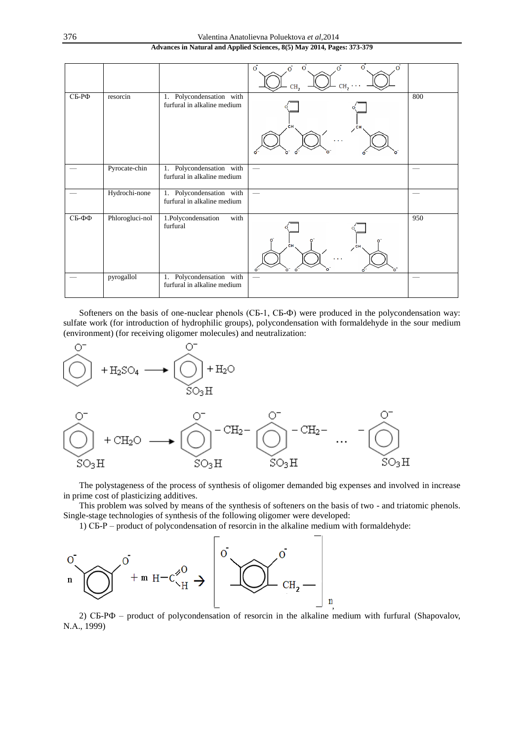|       |                 |                                                            | $\overline{O}$<br>$\overline{O}$<br>$\overline{O}$<br>$\overline{O}$<br>CH <sub>2</sub> |     |
|-------|-----------------|------------------------------------------------------------|-----------------------------------------------------------------------------------------|-----|
| СБ-РФ | resorcin        | Polycondensation with<br>1.<br>furfural in alkaline medium | $\circ$<br>o.<br>$\bullet$                                                              | 800 |
|       | Pyrocate-chin   | Polycondensation with<br>1.<br>furfural in alkaline medium |                                                                                         |     |
|       | Hydrochi-none   | Polycondensation with<br>1.<br>furfural in alkaline medium |                                                                                         |     |
| СБ-ФФ | Phlorogluci-nol | 1.Polycondensation<br>with<br>furfural                     | ō<br>o.<br>CН<br>cн<br>o<br>$\circ$                                                     | 950 |
|       | pyrogallol      | Polycondensation with<br>1.<br>furfural in alkaline medium |                                                                                         |     |

Softeners on the basis of one-nuclear phenols (СБ-1, СБ-Ф) were produced in the polycondensation way: sulfate work (for introduction of hydrophilic groups), polycondensation with formaldehyde in the sour medium (environment) (for receiving oligomer molecules) and neutralization:



The polystageness of the process of synthesis of oligomer demanded big expenses and involved in increase in prime cost of plasticizing additives.

This problem was solved by means of the synthesis of softeners on the basis of two - and triatomic phenols. Single-stage technologies of synthesis of the following oligomer were developed:

1) СБ-Р – product of polycondensation of resorcin in the alkaline medium with formaldehyde:



2) СБ-РФ – product of polycondensation of resorcin in the alkaline medium with furfural (Shapovalov, N.А., 1999)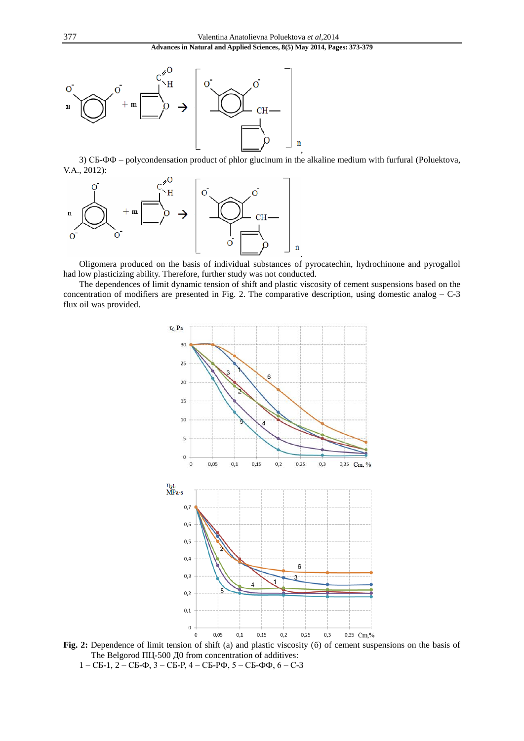

3) СБ-ФФ – polycondensation product of phlor glucinum in the alkaline medium with furfural (Poluektova, V.А., 2012):



Oligomera produced on the basis of individual substances of pyrocatechin, hydrochinone and pyrogallol had low plasticizing ability. Therefore, further study was not conducted.

.

The dependences of limit dynamic tension of shift and plastic viscosity of cement suspensions based on the concentration of modifiers are presented in Fig. 2. The comparative description, using domestic analog – C-3 flux oil was provided.



**Fig. 2:** Dependence of limit tension of shift (a) and plastic viscosity (б) of cement suspensions on the basis of The Belgorod ПЦ-500 Д0 from concentration of additives: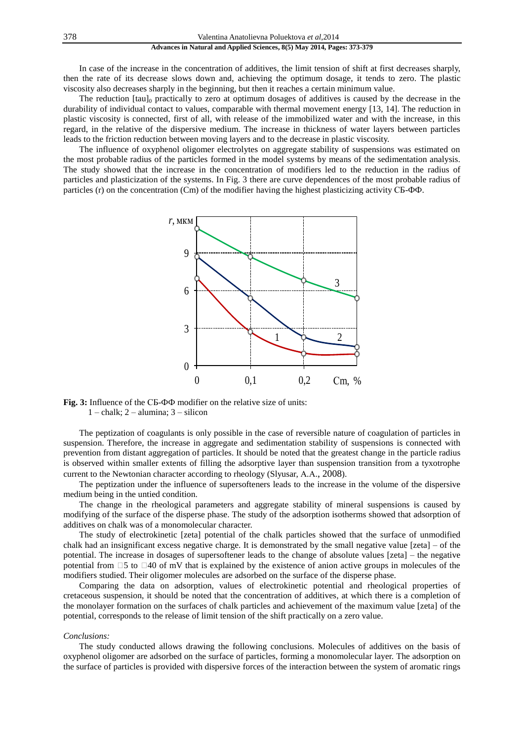In case of the increase in the concentration of additives, the limit tension of shift at first decreases sharply, then the rate of its decrease slows down and, achieving the optimum dosage, it tends to zero. The plastic viscosity also decreases sharply in the beginning, but then it reaches a certain minimum value.

The reduction  $[tau]_0$  practically to zero at optimum dosages of additives is caused by the decrease in the durability of individual contact to values, comparable with thermal movement energy [13, 14]. The reduction in plastic viscosity is connected, first of all, with release of the immobilized water and with the increase, in this regard, in the relative of the dispersive medium. The increase in thickness of water layers between particles leads to the friction reduction between moving layers and to the decrease in plastic viscosity.

The influence of oxyphenol oligomer electrolytes on aggregate stability of suspensions was estimated on the most probable radius of the particles formed in the model systems by means of the sedimentation analysis. The study showed that the increase in the concentration of modifiers led to the reduction in the radius of particles and plasticization of the systems. In Fig. 3 there are curve dependences of the most probable radius of particles (r) on the concentration (Cm) of the modifier having the highest plasticizing activity СБ-ФФ.



**Fig. 3:** Influence of the СБ-ФФ modifier on the relative size of units: 1 – chalk; 2 – alumina; 3 – silicon

The peptization of coagulants is only possible in the case of reversible nature of coagulation of particles in suspension. Therefore, the increase in aggregate and sedimentation stability of suspensions is connected with prevention from distant aggregation of particles. It should be noted that the greatest change in the particle radius is observed within smaller extents of filling the adsorptive layer than suspension transition from a tyxotrophe current to the Newtonian character according to rheology (Slyusar, А.А., 2008).

The peptization under the influence of supersofteners leads to the increase in the volume of the dispersive medium being in the untied condition.

The change in the rheological parameters and aggregate stability of mineral suspensions is caused by modifying of the surface of the disperse phase. The study of the adsorption isotherms showed that adsorption of additives on chalk was of a monomolecular character.

The study of electrokinetic [zeta] potential of the chalk particles showed that the surface of unmodified chalk had an insignificant excess negative charge. It is demonstrated by the small negative value [zeta] – of the potential. The increase in dosages of supersoftener leads to the change of absolute values [zeta] – the negative potential from  $\Box$ 5 to  $\Box$ 40 of mV that is explained by the existence of anion active groups in molecules of the modifiers studied. Their oligomer molecules are adsorbed on the surface of the disperse phase.

Comparing the data on adsorption, values of electrokinetic potential and rheological properties of cretaceous suspension, it should be noted that the concentration of additives, at which there is a completion of the monolayer formation on the surfaces of chalk particles and achievement of the maximum value [zeta] of the potential, corresponds to the release of limit tension of the shift practically on a zero value.

#### *Conclusions:*

The study conducted allows drawing the following conclusions. Molecules of additives on the basis of oxyphenol oligomer are adsorbed on the surface of particles, forming a monomolecular layer. The adsorption on the surface of particles is provided with dispersive forces of the interaction between the system of aromatic rings